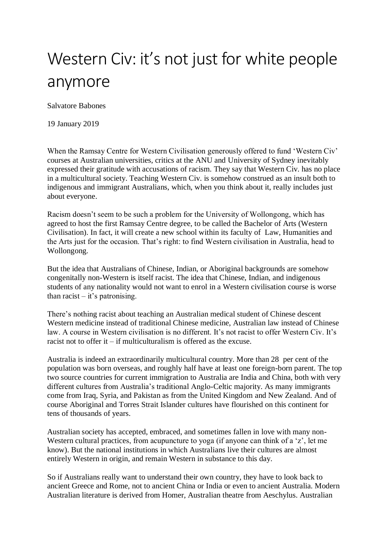## Western Civ: it's not just for white people anymore

Salvatore Babones

19 January 2019

When the Ramsay Centre for Western Civilisation generously offered to fund 'Western Civ' courses at Australian universities, critics at the ANU and University of Sydney inevitably expressed their gratitude with accusations of racism. They say that Western Civ. has no place in a multicultural society. Teaching Western Civ. is somehow construed as an insult both to indigenous and immigrant Australians, which, when you think about it, really includes just about everyone.

Racism doesn't seem to be such a problem for the University of Wollongong, which has agreed to host the first Ramsay Centre degree, to be called the Bachelor of Arts (Western Civilisation). In fact, it will create a new school within its faculty of Law, Humanities and the Arts just for the occasion. That's right: to find Western civilisation in Australia, head to Wollongong.

But the idea that Australians of Chinese, Indian, or Aboriginal backgrounds are somehow congenitally non-Western is itself racist. The idea that Chinese, Indian, and indigenous students of any nationality would not want to enrol in a Western civilisation course is worse than racist  $-$  it's patronising.

There's nothing racist about teaching an Australian medical student of Chinese descent Western medicine instead of traditional Chinese medicine, Australian law instead of Chinese law. A course in Western civilisation is no different. It's not racist to offer Western Civ. It's racist not to offer it – if multiculturalism is offered as the excuse.

Australia is indeed an extraordinarily multicultural country. More than 28 per cent of the population was born overseas, and roughly half have at least one foreign-born parent. The top two source countries for current immigration to Australia are India and China, both with very different cultures from Australia's traditional Anglo-Celtic majority. As many immigrants come from Iraq, Syria, and Pakistan as from the United Kingdom and New Zealand. And of course Aboriginal and Torres Strait Islander cultures have flourished on this continent for tens of thousands of years.

Australian society has accepted, embraced, and sometimes fallen in love with many non-Western cultural practices, from acupuncture to yoga (if anyone can think of a 'z', let me know). But the national institutions in which Australians live their cultures are almost entirely Western in origin, and remain Western in substance to this day.

So if Australians really want to understand their own country, they have to look back to ancient Greece and Rome, not to ancient China or India or even to ancient Australia. Modern Australian literature is derived from Homer, Australian theatre from Aeschylus. Australian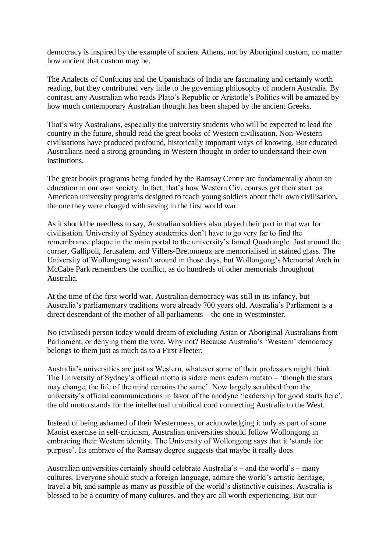democracy is inspired by the example of ancient Athens, not by Aboriginal custom, no matter how ancient that custom may be.

The Analects of Confucius and the Upanishads of India are fascinating and certainly worth reading, but they contributed very little to the governing philosophy of modern Australia. By contrast, any Australian who reads Plato's Republic or Aristotle's Politics will be amazed by how much contemporary Australian thought has been shaped by the ancient Greeks.

That's why Australians, especially the university students who will be expected to lead the country in the future, should read the great books of Western civilisation. Non-Western civilisations have produced profound, historically important ways of knowing. But educated Australians need a strong grounding in Western thought in order to understand their own institutions.

The great books programs being funded by the Ramsay Centre are fundamentally about an education in our own society. In fact, that's how Western Civ. courses got their start: as American university programs designed to teach young soldiers about their own civilisation, the one they were charged with saving in the first world war.

As it should be needless to say, Australian soldiers also played their part in that war for civilisation. University of Sydney academics don't have to go very far to find the remembrance plaque in the main portal to the university's famed Quadrangle. Just around the corner, Gallipoli, Jerusalem, and Villers-Bretonneux are memorialised in stained glass. The University of Wollongong wasn't around in those days, but Wollongong's Memorial Arch in McCabe Park remembers the conflict, as do hundreds of other memorials throughout Australia.

At the time of the first world war, Australian democracy was still in its infancy, but Australia's parliamentary traditions were already 700 years old. Australia's Parliament is a direct descendant of the mother of all parliaments – the one in Westminster.

No (civilised) person today would dream of excluding Asian or Aboriginal Australians from Parliament, or denying them the vote. Why not? Because Australia's 'Western' democracy belongs to them just as much as to a First Fleeter.

Australia's universities are just as Western, whatever some of their professors might think. The University of Sydney's official motto is sidere mens eadem mutato – 'though the stars may change, the life of the mind remains the same'. Now largely scrubbed from the university's official communications in favor of the anodyne 'leadership for good starts here', the old motto stands for the intellectual umbilical cord connecting Australia to the West.

Instead of being ashamed of their Westernness, or acknowledging it only as part of some Maoist exercise in self-criticism, Australian universities should follow Wollongong in embracing their Western identity. The University of Wollongong says that it 'stands for purpose'. Its embrace of the Ramsay degree suggests that maybe it really does.

Australian universities certainly should celebrate Australia's – and the world's – many cultures. Everyone should study a foreign language, admire the world's artistic heritage, travel a bit, and sample as many as possible of the world's distinctive cuisines. Australia is blessed to be a country of many cultures, and they are all worth experiencing. But our